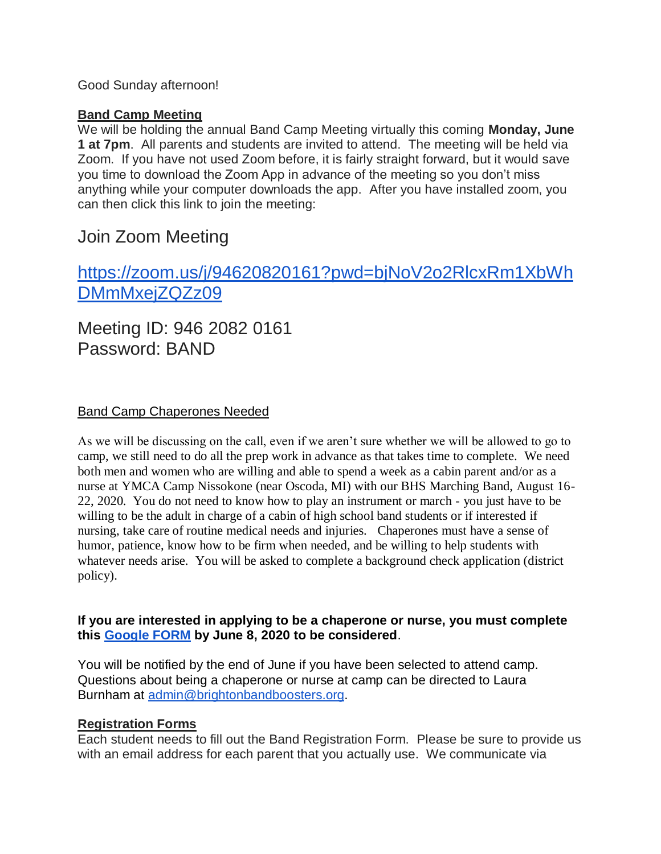## Good Sunday afternoon!

## **Band Camp Meeting**

We will be holding the annual Band Camp Meeting virtually this coming **Monday, June 1 at 7pm**. All parents and students are invited to attend. The meeting will be held via Zoom. If you have not used Zoom before, it is fairly straight forward, but it would save you time to download the Zoom App in advance of the meeting so you don't miss anything while your computer downloads the app. After you have installed zoom, you can then click this link to join the meeting:

# Join Zoom Meeting

[https://zoom.us/j/94620820161?pwd=bjNoV2o2RlcxRm1XbWh](https://www.google.com/url?q=https%3A%2F%2Fzoom.us%2Fj%2F94620820161%3Fpwd%3DbjNoV2o2RlcxRm1XbWhDMmMxejZQZz09&sa=D&ust=1591206074453000&usg=AOvVaw05fGeWJYkEk7hMekpN8ILa) [DMmMxejZQZz09](https://www.google.com/url?q=https%3A%2F%2Fzoom.us%2Fj%2F94620820161%3Fpwd%3DbjNoV2o2RlcxRm1XbWhDMmMxejZQZz09&sa=D&ust=1591206074453000&usg=AOvVaw05fGeWJYkEk7hMekpN8ILa)

Meeting ID: 946 2082 0161 Password: BAND

## Band Camp Chaperones Needed

As we will be discussing on the call, even if we aren't sure whether we will be allowed to go to camp, we still need to do all the prep work in advance as that takes time to complete. We need both men and women who are willing and able to spend a week as a cabin parent and/or as a nurse at YMCA Camp Nissokone (near Oscoda, MI) with our BHS Marching Band, August 16- 22, 2020. You do not need to know how to play an instrument or march - you just have to be willing to be the adult in charge of a cabin of high school band students or if interested if nursing, take care of routine medical needs and injuries. Chaperones must have a sense of humor, patience, know how to be firm when needed, and be willing to help students with whatever needs arise. You will be asked to complete a background check application (district policy).

#### **If you are interested in applying to be a chaperone or nurse, you must complete this [Google FORM](https://docs.google.com/forms/d/e/1FAIpQLScRrMEPhz90XnuXFqvEr25sM9E45ZPiUcoTRsSUgoqJB_gJ1A/viewform?usp=sf_link) by June 8, 2020 to be considered**.

You will be notified by the end of June if you have been selected to attend camp. Questions about being a chaperone or nurse at camp can be directed to Laura Burnham at [admin@brightonbandboosters.org.](mailto:admin@brightonbandboosters.org)

#### **Registration Forms**

Each student needs to fill out the Band Registration Form. Please be sure to provide us with an email address for each parent that you actually use. We communicate via